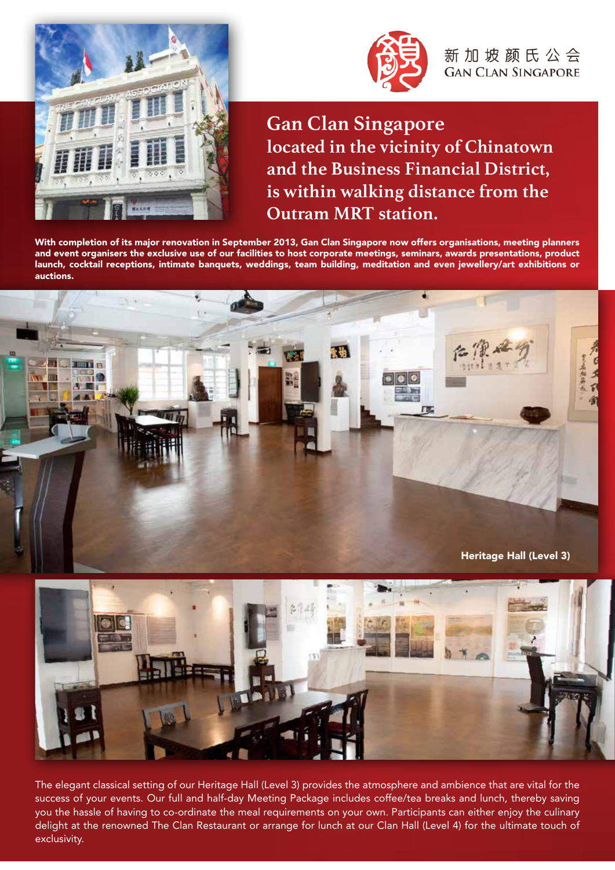



新加坡颜氏公会 **GAN CLAN SINGAPORE** 

**Gan Clan Singapore located in the vicinity of Chinatown and the Business Financial District, is within walking distance from the Outram MRT station.** 

With completion of its major renovation in September 2013, Gan Clan Singapore now offers organisations, meeting planners and event organisers the exclusive use of our facilities to host corporate meetings, seminars, awards presentations, product launch, cocktail receptions, intimate banquets, weddings, team building, meditation and even jewellery/art exhibitions or auctions.



![](_page_0_Picture_6.jpeg)

The elegant classical setting of our Heritage Hall (Level 3) provides the atmosphere and ambience that are vital for the success of your events. Our full and half-day Meeting Package includes coffee/tea breaks and lunch, thereby saving you the hassle of having to co-ordinate the meal requirements on your own. Participants can either enjoy the culinary delight at the renowned The Clan Restaurant or arrange for lunch at our Clan Hall (Level 4) for the ultimate touch of exclusivity.